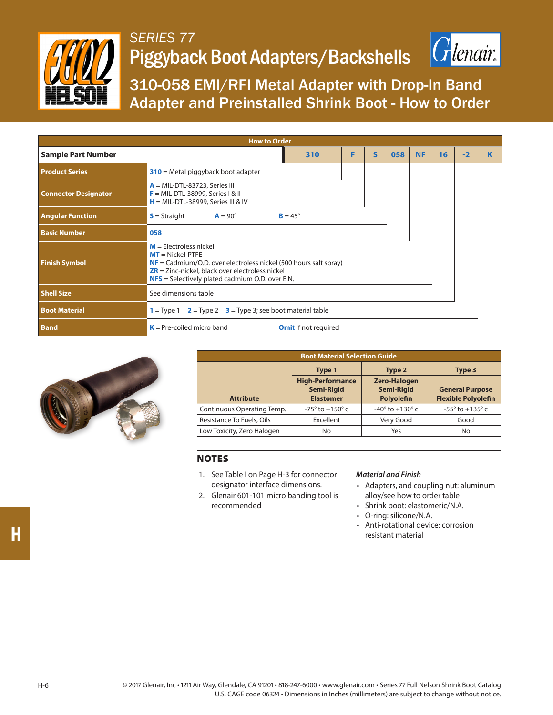

## *SERIES 77* Piggyback Boot Adapters/Backshells



310-058 EMI/RFI Metal Adapter with Drop-In Band Adapter and Preinstalled Shrink Boot - How to Order

| <b>How to Order</b>         |                                                                                                                                                                                                                                                 |   |              |     |           |    |      |  |  |
|-----------------------------|-------------------------------------------------------------------------------------------------------------------------------------------------------------------------------------------------------------------------------------------------|---|--------------|-----|-----------|----|------|--|--|
| <b>Sample Part Number</b>   | 310                                                                                                                                                                                                                                             | F | $\mathsf{s}$ | 058 | <b>NF</b> | 16 | $-2$ |  |  |
| <b>Product Series</b>       | $310$ = Metal piggyback boot adapter                                                                                                                                                                                                            |   |              |     |           |    |      |  |  |
| <b>Connector Designator</b> | $A = MIL-DTL-83723$ , Series III<br>$F = MIL-DTL-38999$ , Series I & II<br>$H = MIL-DTL-38999$ , Series III & IV                                                                                                                                |   |              |     |           |    |      |  |  |
| <b>Angular Function</b>     | $S =$ Straight<br>$A = 90^\circ$<br>$B = 45^\circ$                                                                                                                                                                                              |   |              |     |           |    |      |  |  |
| <b>Basic Number</b>         | 058                                                                                                                                                                                                                                             |   |              |     |           |    |      |  |  |
| <b>Finish Symbol</b>        | $M =$ Electroless nickel<br>$MT = Nickel-PTFE$<br>$NF = \text{Cadmium/O.D. over electrodes nickel}$ (500 hours salt spray)<br>$\overline{ZR}$ = Zinc-nickel, black over electroless nickel<br>$NFS$ = Selectively plated cadmium O.D. over E.N. |   |              |     |           |    |      |  |  |
| <b>Shell Size</b>           | See dimensions table                                                                                                                                                                                                                            |   |              |     |           |    |      |  |  |
| <b>Boot Material</b>        | $1 =$ Type 1 $2 =$ Type 2 $3 =$ Type 3; see boot material table                                                                                                                                                                                 |   |              |     |           |    |      |  |  |
| <b>Band</b>                 | $K = Pre-coiled$ micro band<br><b>Omit</b> if not required                                                                                                                                                                                      |   |              |     |           |    |      |  |  |



| <b>Boot Material Selection Guide</b> |                                                                  |                                                               |                                                                |  |  |  |
|--------------------------------------|------------------------------------------------------------------|---------------------------------------------------------------|----------------------------------------------------------------|--|--|--|
|                                      | Type 1                                                           | Type 2                                                        | Type 3<br><b>General Purpose</b><br><b>Flexible Polyolefin</b> |  |  |  |
| <b>Attribute</b>                     | <b>High-Performance</b><br><b>Semi-Rigid</b><br><b>Elastomer</b> | <b>Zero-Halogen</b><br><b>Semi-Rigid</b><br><b>Polyolefin</b> |                                                                |  |  |  |
| Continuous Operating Temp.           | $-75^{\circ}$ to $+150^{\circ}$ c                                | $-40^{\circ}$ to $+130^{\circ}$ c                             | $-55^{\circ}$ to $+135^{\circ}$ c                              |  |  |  |
| Resistance To Fuels, Oils            | Excellent                                                        | Very Good                                                     | Good                                                           |  |  |  |
| Low Toxicity, Zero Halogen           | No                                                               | Yes                                                           | No                                                             |  |  |  |

## NOTES

- 1. See Table I on Page H-3 for connector designator interface dimensions.
- 2. Glenair 601-101 micro banding tool is recommended

## *Material and Finish*

- Adapters, and coupling nut: aluminum alloy/see how to order table
- Shrink boot: elastomeric/N.A.
- O-ring: silicone/N.A.
- Anti-rotational device: corrosion resistant material